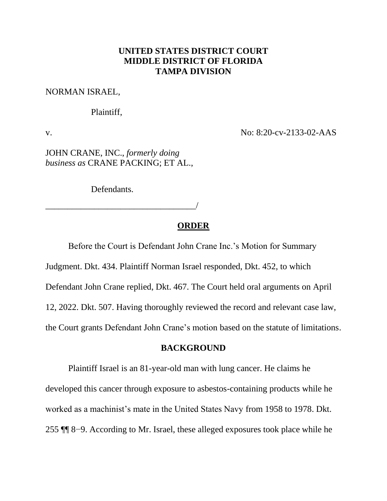# **UNITED STATES DISTRICT COURT MIDDLE DISTRICT OF FLORIDA TAMPA DIVISION**

#### NORMAN ISRAEL,

#### Plaintiff,

v. No: 8:20-cv-2133-02-AAS

JOHN CRANE, INC., *formerly doing business as* CRANE PACKING; ET AL.,

Defendants.

\_\_\_\_\_\_\_\_\_\_\_\_\_\_\_\_\_\_\_\_\_\_\_\_\_\_\_\_\_\_\_\_\_\_/

## **ORDER**

Before the Court is Defendant John Crane Inc.'s Motion for Summary

Judgment. Dkt. 434. Plaintiff Norman Israel responded, Dkt. 452, to which

Defendant John Crane replied, Dkt. 467. The Court held oral arguments on April

12, 2022. Dkt. 507. Having thoroughly reviewed the record and relevant case law,

the Court grants Defendant John Crane's motion based on the statute of limitations.

## **BACKGROUND**

Plaintiff Israel is an 81-year-old man with lung cancer. He claims he developed this cancer through exposure to asbestos-containing products while he worked as a machinist's mate in the United States Navy from 1958 to 1978. Dkt. 255 ¶¶ 8−9. According to Mr. Israel, these alleged exposures took place while he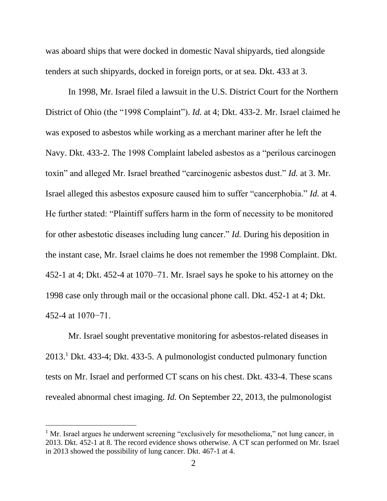was aboard ships that were docked in domestic Naval shipyards, tied alongside tenders at such shipyards, docked in foreign ports, or at sea. Dkt. 433 at 3.

In 1998, Mr. Israel filed a lawsuit in the U.S. District Court for the Northern District of Ohio (the "1998 Complaint"). *Id.* at 4; Dkt. 433-2. Mr. Israel claimed he was exposed to asbestos while working as a merchant mariner after he left the Navy. Dkt. 433-2. The 1998 Complaint labeled asbestos as a "perilous carcinogen toxin" and alleged Mr. Israel breathed "carcinogenic asbestos dust." *Id.* at 3. Mr. Israel alleged this asbestos exposure caused him to suffer "cancerphobia." *Id.* at 4. He further stated: "Plaintiff suffers harm in the form of necessity to be monitored for other asbestotic diseases including lung cancer." *Id.* During his deposition in the instant case, Mr. Israel claims he does not remember the 1998 Complaint. Dkt. 452-1 at 4; Dkt. 452-4 at 1070–71. Mr. Israel says he spoke to his attorney on the 1998 case only through mail or the occasional phone call. Dkt. 452-1 at 4; Dkt. 452-4 at 1070−71.

Mr. Israel sought preventative monitoring for asbestos-related diseases in 2013.<sup>1</sup> Dkt. 433-4; Dkt. 433-5. A pulmonologist conducted pulmonary function tests on Mr. Israel and performed CT scans on his chest. Dkt. 433-4. These scans revealed abnormal chest imaging. *Id.* On September 22, 2013, the pulmonologist

<sup>&</sup>lt;sup>1</sup> Mr. Israel argues he underwent screening "exclusively for mesothelioma," not lung cancer, in 2013. Dkt. 452-1 at 8. The record evidence shows otherwise. A CT scan performed on Mr. Israel in 2013 showed the possibility of lung cancer. Dkt. 467-1 at 4.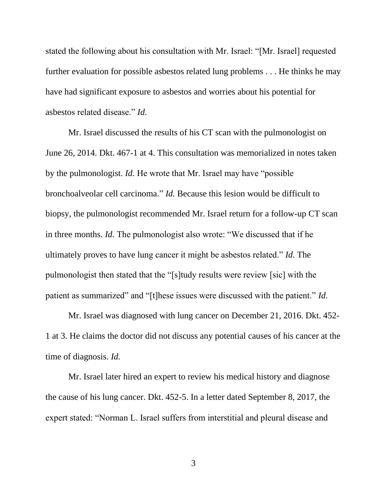stated the following about his consultation with Mr. Israel: "[Mr. Israel] requested further evaluation for possible asbestos related lung problems . . . He thinks he may have had significant exposure to asbestos and worries about his potential for asbestos related disease." *Id.* 

Mr. Israel discussed the results of his CT scan with the pulmonologist on June 26, 2014. Dkt. 467-1 at 4. This consultation was memorialized in notes taken by the pulmonologist. *Id.* He wrote that Mr. Israel may have "possible bronchoalveolar cell carcinoma." *Id.* Because this lesion would be difficult to biopsy, the pulmonologist recommended Mr. Israel return for a follow-up CT scan in three months. *Id.* The pulmonologist also wrote: "We discussed that if he ultimately proves to have lung cancer it might be asbestos related." *Id.* The pulmonologist then stated that the "[s]tudy results were review [sic] with the patient as summarized" and "[t]hese issues were discussed with the patient." *Id.* 

Mr. Israel was diagnosed with lung cancer on December 21, 2016. Dkt. 452- 1 at 3. He claims the doctor did not discuss any potential causes of his cancer at the time of diagnosis. *Id.* 

Mr. Israel later hired an expert to review his medical history and diagnose the cause of his lung cancer. Dkt. 452-5. In a letter dated September 8, 2017, the expert stated: "Norman L. Israel suffers from interstitial and pleural disease and

3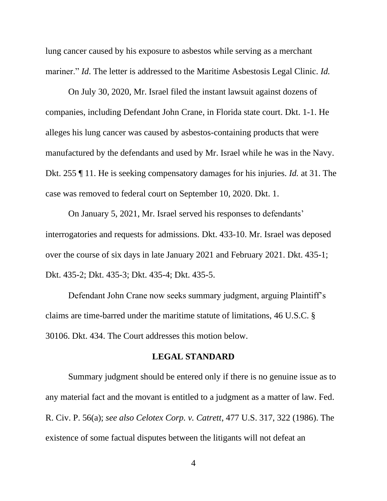lung cancer caused by his exposure to asbestos while serving as a merchant mariner." *Id*. The letter is addressed to the Maritime Asbestosis Legal Clinic. *Id.* 

On July 30, 2020, Mr. Israel filed the instant lawsuit against dozens of companies, including Defendant John Crane, in Florida state court. Dkt. 1-1. He alleges his lung cancer was caused by asbestos-containing products that were manufactured by the defendants and used by Mr. Israel while he was in the Navy. Dkt. 255 ¶ 11. He is seeking compensatory damages for his injuries. *Id.* at 31. The case was removed to federal court on September 10, 2020. Dkt. 1.

On January 5, 2021, Mr. Israel served his responses to defendants' interrogatories and requests for admissions. Dkt. 433-10. Mr. Israel was deposed over the course of six days in late January 2021 and February 2021. Dkt. 435-1; Dkt. 435-2; Dkt. 435-3; Dkt. 435-4; Dkt. 435-5.

Defendant John Crane now seeks summary judgment, arguing Plaintiff's claims are time-barred under the maritime statute of limitations, 46 U.S.C. § 30106. Dkt. 434. The Court addresses this motion below.

## **LEGAL STANDARD**

Summary judgment should be entered only if there is no genuine issue as to any material fact and the movant is entitled to a judgment as a matter of law. Fed. R. Civ. P. 56(a); *see also Celotex Corp. v. Catrett*, 477 U.S. 317, 322 (1986). The existence of some factual disputes between the litigants will not defeat an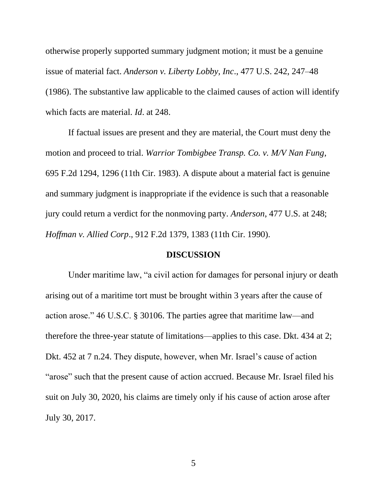otherwise properly supported summary judgment motion; it must be a genuine issue of material fact. *Anderson v. Liberty Lobby, Inc*., 477 U.S. 242, 247–48 (1986). The substantive law applicable to the claimed causes of action will identify which facts are material. *Id*. at 248.

If factual issues are present and they are material, the Court must deny the motion and proceed to trial. *Warrior Tombigbee Transp. Co. v. M/V Nan Fung*, 695 F.2d 1294, 1296 (11th Cir. 1983). A dispute about a material fact is genuine and summary judgment is inappropriate if the evidence is such that a reasonable jury could return a verdict for the nonmoving party. *Anderson*, 477 U.S. at 248; *Hoffman v. Allied Corp*., 912 F.2d 1379, 1383 (11th Cir. 1990).

#### **DISCUSSION**

Under maritime law, "a civil action for damages for personal injury or death arising out of a maritime tort must be brought within 3 years after the cause of action arose." 46 U.S.C. § 30106. The parties agree that maritime law—and therefore the three-year statute of limitations—applies to this case. Dkt. 434 at 2; Dkt. 452 at 7 n.24. They dispute, however, when Mr. Israel's cause of action "arose" such that the present cause of action accrued. Because Mr. Israel filed his suit on July 30, 2020, his claims are timely only if his cause of action arose after July 30, 2017.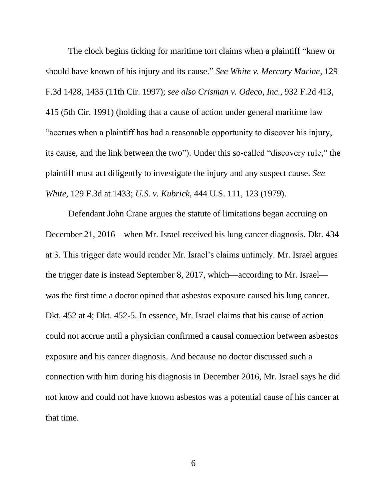The clock begins ticking for maritime tort claims when a plaintiff "knew or should have known of his injury and its cause." *See White v. Mercury Marine*, 129 F.3d 1428, 1435 (11th Cir. 1997); *see also Crisman v. Odeco, Inc.*, 932 F.2d 413, 415 (5th Cir. 1991) (holding that a cause of action under general maritime law "accrues when a plaintiff has had a reasonable opportunity to discover his injury, its cause, and the link between the two"). Under this so-called "discovery rule," the plaintiff must act diligently to investigate the injury and any suspect cause. *See White*, 129 F.3d at 1433; *U.S. v. Kubrick*, 444 U.S. 111, 123 (1979).

Defendant John Crane argues the statute of limitations began accruing on December 21, 2016—when Mr. Israel received his lung cancer diagnosis. Dkt. 434 at 3. This trigger date would render Mr. Israel's claims untimely. Mr. Israel argues the trigger date is instead September 8, 2017, which—according to Mr. Israel was the first time a doctor opined that asbestos exposure caused his lung cancer. Dkt. 452 at 4; Dkt. 452-5. In essence, Mr. Israel claims that his cause of action could not accrue until a physician confirmed a causal connection between asbestos exposure and his cancer diagnosis. And because no doctor discussed such a connection with him during his diagnosis in December 2016, Mr. Israel says he did not know and could not have known asbestos was a potential cause of his cancer at that time.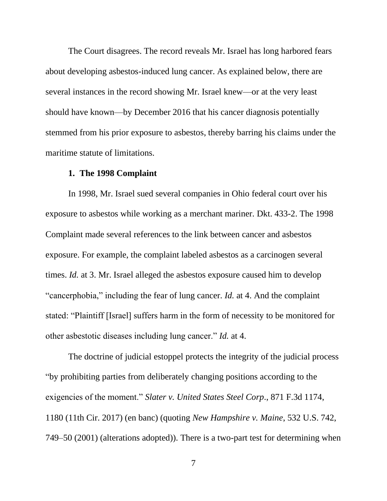The Court disagrees. The record reveals Mr. Israel has long harbored fears about developing asbestos-induced lung cancer. As explained below, there are several instances in the record showing Mr. Israel knew—or at the very least should have known—by December 2016 that his cancer diagnosis potentially stemmed from his prior exposure to asbestos, thereby barring his claims under the maritime statute of limitations.

#### **1. The 1998 Complaint**

In 1998, Mr. Israel sued several companies in Ohio federal court over his exposure to asbestos while working as a merchant mariner. Dkt. 433-2. The 1998 Complaint made several references to the link between cancer and asbestos exposure. For example, the complaint labeled asbestos as a carcinogen several times. *Id.* at 3. Mr. Israel alleged the asbestos exposure caused him to develop "cancerphobia," including the fear of lung cancer. *Id.* at 4. And the complaint stated: "Plaintiff [Israel] suffers harm in the form of necessity to be monitored for other asbestotic diseases including lung cancer." *Id.* at 4.

The doctrine of judicial estoppel protects the integrity of the judicial process "by prohibiting parties from deliberately changing positions according to the exigencies of the moment." *Slater v. United States Steel Corp*., 871 F.3d 1174, 1180 (11th Cir. 2017) (en banc) (quoting *New Hampshire v. Maine*, 532 U.S. 742, 749–50 (2001) (alterations adopted)). There is a two-part test for determining when

7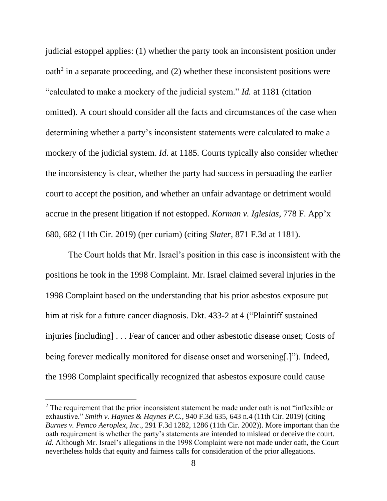judicial estoppel applies: (1) whether the party took an inconsistent position under  $\text{path}^2$  in a separate proceeding, and (2) whether these inconsistent positions were "calculated to make a mockery of the judicial system." *Id.* at 1181 (citation omitted). A court should consider all the facts and circumstances of the case when determining whether a party's inconsistent statements were calculated to make a mockery of the judicial system. *Id*. at 1185. Courts typically also consider whether the inconsistency is clear, whether the party had success in persuading the earlier court to accept the position, and whether an unfair advantage or detriment would accrue in the present litigation if not estopped. *Korman v. Iglesias*, 778 F. App'x 680, 682 (11th Cir. 2019) (per curiam) (citing *Slater*, 871 F.3d at 1181).

The Court holds that Mr. Israel's position in this case is inconsistent with the positions he took in the 1998 Complaint. Mr. Israel claimed several injuries in the 1998 Complaint based on the understanding that his prior asbestos exposure put him at risk for a future cancer diagnosis. Dkt. 433-2 at 4 ("Plaintiff sustained injuries [including] . . . Fear of cancer and other asbestotic disease onset; Costs of being forever medically monitored for disease onset and worsening[.]"). Indeed, the 1998 Complaint specifically recognized that asbestos exposure could cause

 $2$  The requirement that the prior inconsistent statement be made under oath is not "inflexible or exhaustive." *Smith v. Haynes & Haynes P.C.*, 940 F.3d 635, 643 n.4 (11th Cir. 2019) (citing *Burnes v. Pemco Aeroplex, Inc*., 291 F.3d 1282, 1286 (11th Cir. 2002)). More important than the oath requirement is whether the party's statements are intended to mislead or deceive the court. *Id.* Although Mr. Israel's allegations in the 1998 Complaint were not made under oath, the Court nevertheless holds that equity and fairness calls for consideration of the prior allegations.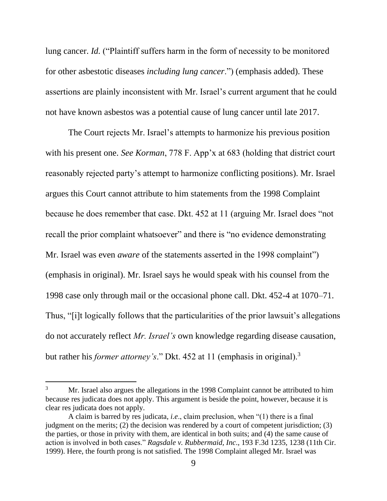lung cancer. *Id.* ("Plaintiff suffers harm in the form of necessity to be monitored for other asbestotic diseases *including lung cancer*.") (emphasis added). These assertions are plainly inconsistent with Mr. Israel's current argument that he could not have known asbestos was a potential cause of lung cancer until late 2017.

The Court rejects Mr. Israel's attempts to harmonize his previous position with his present one. *See Korman*, 778 F. App'x at 683 (holding that district court reasonably rejected party's attempt to harmonize conflicting positions). Mr. Israel argues this Court cannot attribute to him statements from the 1998 Complaint because he does remember that case. Dkt. 452 at 11 (arguing Mr. Israel does "not recall the prior complaint whatsoever" and there is "no evidence demonstrating Mr. Israel was even *aware* of the statements asserted in the 1998 complaint") (emphasis in original). Mr. Israel says he would speak with his counsel from the 1998 case only through mail or the occasional phone call. Dkt. 452-4 at 1070–71. Thus, "[i]t logically follows that the particularities of the prior lawsuit's allegations do not accurately reflect *Mr. Israel's* own knowledge regarding disease causation, but rather his *former attorney's*." Dkt. 452 at 11 (emphasis in original).<sup>3</sup>

<sup>&</sup>lt;sup>3</sup> Mr. Israel also argues the allegations in the 1998 Complaint cannot be attributed to him because res judicata does not apply. This argument is beside the point, however, because it is clear res judicata does not apply.

A claim is barred by res judicata, *i.e*., claim preclusion, when "(1) there is a final judgment on the merits; (2) the decision was rendered by a court of competent jurisdiction; (3) the parties, or those in privity with them, are identical in both suits; and (4) the same cause of action is involved in both cases." *Ragsdale v. Rubbermaid, Inc*., 193 F.3d 1235, 1238 (11th Cir. 1999). Here, the fourth prong is not satisfied. The 1998 Complaint alleged Mr. Israel was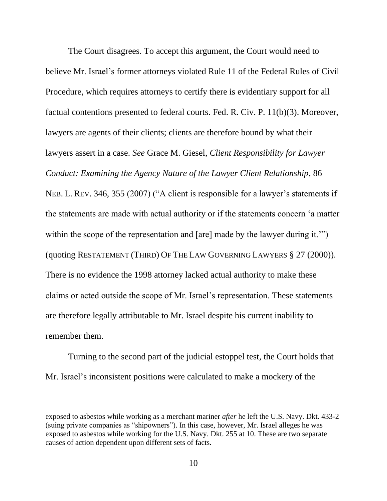The Court disagrees. To accept this argument, the Court would need to believe Mr. Israel's former attorneys violated Rule 11 of the Federal Rules of Civil Procedure, which requires attorneys to certify there is evidentiary support for all factual contentions presented to federal courts. Fed. R. Civ. P. 11(b)(3). Moreover, lawyers are agents of their clients; clients are therefore bound by what their lawyers assert in a case. *See* Grace M. Giesel, *Client Responsibility for Lawyer Conduct: Examining the Agency Nature of the Lawyer Client Relationship*, 86 NEB. L. REV. 346, 355 (2007) ("A client is responsible for a lawyer's statements if the statements are made with actual authority or if the statements concern 'a matter within the scope of the representation and [are] made by the lawyer during it."") (quoting RESTATEMENT (THIRD) OF THE LAW GOVERNING LAWYERS § 27 (2000)). There is no evidence the 1998 attorney lacked actual authority to make these claims or acted outside the scope of Mr. Israel's representation. These statements are therefore legally attributable to Mr. Israel despite his current inability to remember them.

Turning to the second part of the judicial estoppel test, the Court holds that Mr. Israel's inconsistent positions were calculated to make a mockery of the

exposed to asbestos while working as a merchant mariner *after* he left the U.S. Navy. Dkt. 433-2 (suing private companies as "shipowners"). In this case, however, Mr. Israel alleges he was exposed to asbestos while working for the U.S. Navy. Dkt. 255 at 10. These are two separate causes of action dependent upon different sets of facts.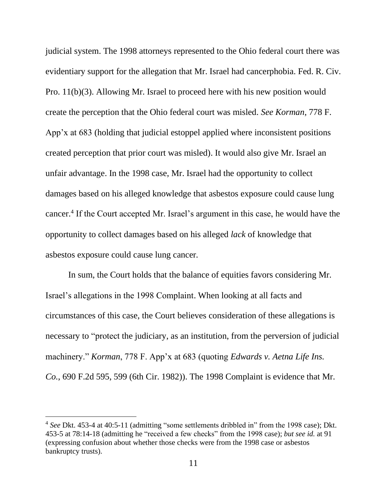judicial system. The 1998 attorneys represented to the Ohio federal court there was evidentiary support for the allegation that Mr. Israel had cancerphobia. Fed. R. Civ. Pro. 11(b)(3). Allowing Mr. Israel to proceed here with his new position would create the perception that the Ohio federal court was misled. *See Korman*, 778 F. App'x at 683 (holding that judicial estoppel applied where inconsistent positions created perception that prior court was misled). It would also give Mr. Israel an unfair advantage. In the 1998 case, Mr. Israel had the opportunity to collect damages based on his alleged knowledge that asbestos exposure could cause lung cancer. 4 If the Court accepted Mr. Israel's argument in this case, he would have the opportunity to collect damages based on his alleged *lack* of knowledge that asbestos exposure could cause lung cancer.

In sum, the Court holds that the balance of equities favors considering Mr. Israel's allegations in the 1998 Complaint. When looking at all facts and circumstances of this case, the Court believes consideration of these allegations is necessary to "protect the judiciary, as an institution, from the perversion of judicial machinery." *Korman*, 778 F. App'x at 683 (quoting *Edwards v. Aetna Life Ins. Co.*, 690 F.2d 595, 599 (6th Cir. 1982)). The 1998 Complaint is evidence that Mr.

<sup>4</sup> *See* Dkt. 453-4 at 40:5-11 (admitting "some settlements dribbled in" from the 1998 case); Dkt. 453-5 at 78:14-18 (admitting he "received a few checks" from the 1998 case); *but see id.* at 91 (expressing confusion about whether those checks were from the 1998 case or asbestos bankruptcy trusts).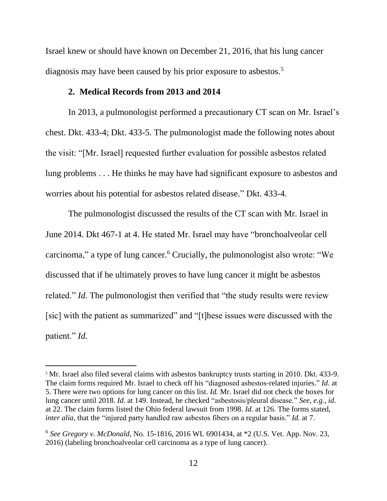Israel knew or should have known on December 21, 2016, that his lung cancer diagnosis may have been caused by his prior exposure to asbestos.<sup>5</sup>

## **2. Medical Records from 2013 and 2014**

In 2013, a pulmonologist performed a precautionary CT scan on Mr. Israel's chest. Dkt. 433-4; Dkt. 433-5. The pulmonologist made the following notes about the visit: "[Mr. Israel] requested further evaluation for possible asbestos related lung problems . . . He thinks he may have had significant exposure to asbestos and worries about his potential for asbestos related disease." Dkt. 433-4.

The pulmonologist discussed the results of the CT scan with Mr. Israel in June 2014. Dkt 467-1 at 4. He stated Mr. Israel may have "bronchoalveolar cell carcinoma," a type of lung cancer.<sup>6</sup> Crucially, the pulmonologist also wrote: "We discussed that if he ultimately proves to have lung cancer it might be asbestos related." *Id.* The pulmonologist then verified that "the study results were review [sic] with the patient as summarized" and "[t]hese issues were discussed with the patient." *Id.* 

<sup>5</sup> Mr. Israel also filed several claims with asbestos bankruptcy trusts starting in 2010. Dkt. 433-9. The claim forms required Mr. Israel to check off his "diagnosed asbestos-related injuries." *Id.* at 5. There were two options for lung cancer on this list. *Id.* Mr. Israel did not check the boxes for lung cancer until 2018. *Id.* at 149. Instead, he checked "asbestosis/pleural disease." *See, e.g.*, *id.*  at 22. The claim forms listed the Ohio federal lawsuit from 1998. *Id.* at 126. The forms stated, *inter alia*, that the "injured party handled raw asbestos fibers on a regular basis." *Id.* at 7.

<sup>6</sup> *See Gregory v. McDonald*, No. 15-1816, 2016 WL 6901434, at \*2 (U.S. Vet. App. Nov. 23, 2016) (labeling bronchoalveolar cell carcinoma as a type of lung cancer).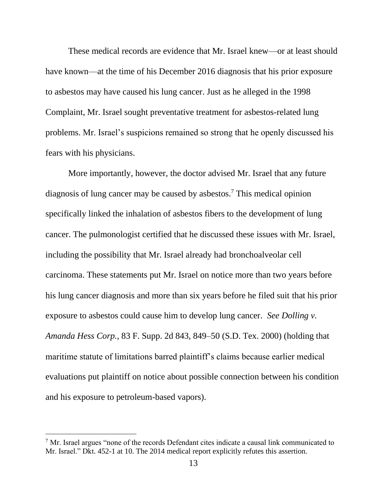These medical records are evidence that Mr. Israel knew—or at least should have known—at the time of his December 2016 diagnosis that his prior exposure to asbestos may have caused his lung cancer. Just as he alleged in the 1998 Complaint, Mr. Israel sought preventative treatment for asbestos-related lung problems. Mr. Israel's suspicions remained so strong that he openly discussed his fears with his physicians.

More importantly, however, the doctor advised Mr. Israel that any future diagnosis of lung cancer may be caused by asbestos.<sup>7</sup> This medical opinion specifically linked the inhalation of asbestos fibers to the development of lung cancer. The pulmonologist certified that he discussed these issues with Mr. Israel, including the possibility that Mr. Israel already had bronchoalveolar cell carcinoma. These statements put Mr. Israel on notice more than two years before his lung cancer diagnosis and more than six years before he filed suit that his prior exposure to asbestos could cause him to develop lung cancer. *See Dolling v. Amanda Hess Corp.*, 83 F. Supp. 2d 843, 849–50 (S.D. Tex. 2000) (holding that maritime statute of limitations barred plaintiff's claims because earlier medical evaluations put plaintiff on notice about possible connection between his condition and his exposure to petroleum-based vapors).

 $<sup>7</sup>$  Mr. Israel argues "none of the records Defendant cites indicate a causal link communicated to</sup> Mr. Israel." Dkt. 452-1 at 10. The 2014 medical report explicitly refutes this assertion.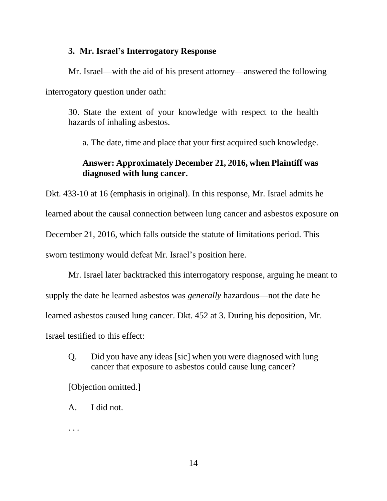## **3. Mr. Israel's Interrogatory Response**

Mr. Israel—with the aid of his present attorney—answered the following interrogatory question under oath:

30. State the extent of your knowledge with respect to the health hazards of inhaling asbestos.

a. The date, time and place that your first acquired such knowledge.

# **Answer: Approximately December 21, 2016, when Plaintiff was diagnosed with lung cancer.**

Dkt. 433-10 at 16 (emphasis in original). In this response, Mr. Israel admits he learned about the causal connection between lung cancer and asbestos exposure on December 21, 2016, which falls outside the statute of limitations period. This sworn testimony would defeat Mr. Israel's position here.

Mr. Israel later backtracked this interrogatory response, arguing he meant to supply the date he learned asbestos was *generally* hazardous—not the date he learned asbestos caused lung cancer. Dkt. 452 at 3. During his deposition, Mr. Israel testified to this effect:

Q. Did you have any ideas [sic] when you were diagnosed with lung cancer that exposure to asbestos could cause lung cancer?

[Objection omitted.]

A. I did not.

. . .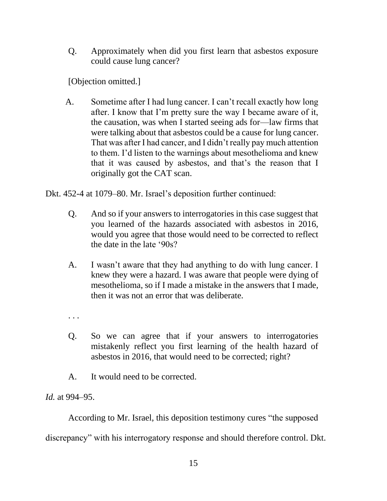Q. Approximately when did you first learn that asbestos exposure could cause lung cancer?

[Objection omitted.]

A. Sometime after I had lung cancer. I can't recall exactly how long after. I know that I'm pretty sure the way I became aware of it, the causation, was when I started seeing ads for—law firms that were talking about that asbestos could be a cause for lung cancer. That was after I had cancer, and I didn't really pay much attention to them. I'd listen to the warnings about mesothelioma and knew that it was caused by asbestos, and that's the reason that I originally got the CAT scan.

Dkt. 452-4 at 1079–80. Mr. Israel's deposition further continued:

- Q. And so if your answers to interrogatories in this case suggest that you learned of the hazards associated with asbestos in 2016, would you agree that those would need to be corrected to reflect the date in the late '90s?
- A. I wasn't aware that they had anything to do with lung cancer. I knew they were a hazard. I was aware that people were dying of mesothelioma, so if I made a mistake in the answers that I made, then it was not an error that was deliberate.
- . . .
- Q. So we can agree that if your answers to interrogatories mistakenly reflect you first learning of the health hazard of asbestos in 2016, that would need to be corrected; right?
- A. It would need to be corrected.

*Id.* at 994–95.

According to Mr. Israel, this deposition testimony cures "the supposed

discrepancy" with his interrogatory response and should therefore control. Dkt.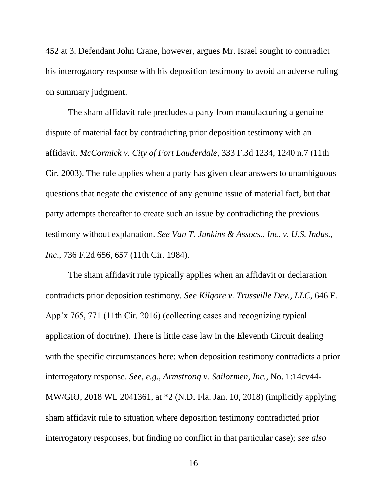452 at 3. Defendant John Crane, however, argues Mr. Israel sought to contradict his interrogatory response with his deposition testimony to avoid an adverse ruling on summary judgment.

The sham affidavit rule precludes a party from manufacturing a genuine dispute of material fact by contradicting prior deposition testimony with an affidavit. *McCormick v. City of Fort Lauderdale*, 333 F.3d 1234, 1240 n.7 (11th Cir. 2003). The rule applies when a party has given clear answers to unambiguous questions that negate the existence of any genuine issue of material fact, but that party attempts thereafter to create such an issue by contradicting the previous testimony without explanation. *See Van T. Junkins & Assocs., Inc. v. U.S. Indus., Inc*., 736 F.2d 656, 657 (11th Cir. 1984).

The sham affidavit rule typically applies when an affidavit or declaration contradicts prior deposition testimony. *See Kilgore v. Trussville Dev., LLC*, 646 F. App'x 765, 771 (11th Cir. 2016) (collecting cases and recognizing typical application of doctrine). There is little case law in the Eleventh Circuit dealing with the specific circumstances here: when deposition testimony contradicts a prior interrogatory response. *See, e.g.*, *Armstrong v. Sailormen, Inc.*, No. 1:14cv44- MW/GRJ, 2018 WL 2041361, at \*2 (N.D. Fla. Jan. 10, 2018) (implicitly applying sham affidavit rule to situation where deposition testimony contradicted prior interrogatory responses, but finding no conflict in that particular case); *see also*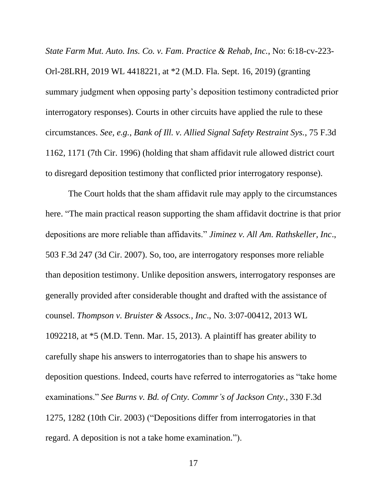*State Farm Mut. Auto. Ins. Co. v. Fam. Practice & Rehab, Inc.*, No: 6:18-cv-223- Orl-28LRH, 2019 WL 4418221, at \*2 (M.D. Fla. Sept. 16, 2019) (granting summary judgment when opposing party's deposition testimony contradicted prior interrogatory responses). Courts in other circuits have applied the rule to these circumstances. *See, e.g.*, *Bank of Ill. v. Allied Signal Safety Restraint Sys.*, 75 F.3d 1162, 1171 (7th Cir. 1996) (holding that sham affidavit rule allowed district court to disregard deposition testimony that conflicted prior interrogatory response).

The Court holds that the sham affidavit rule may apply to the circumstances here. "The main practical reason supporting the sham affidavit doctrine is that prior depositions are more reliable than affidavits." *Jiminez v. All Am. Rathskeller, Inc*., 503 F.3d 247 (3d Cir. 2007). So, too, are interrogatory responses more reliable than deposition testimony. Unlike deposition answers, interrogatory responses are generally provided after considerable thought and drafted with the assistance of counsel. *Thompson v. Bruister & Assocs., Inc*., No. 3:07-00412, 2013 WL 1092218, at \*5 (M.D. Tenn. Mar. 15, 2013). A plaintiff has greater ability to carefully shape his answers to interrogatories than to shape his answers to deposition questions. Indeed, courts have referred to interrogatories as "take home examinations." *See Burns v. Bd. of Cnty. Commr's of Jackson Cnty.*, 330 F.3d 1275, 1282 (10th Cir. 2003) ("Depositions differ from interrogatories in that regard. A deposition is not a take home examination.").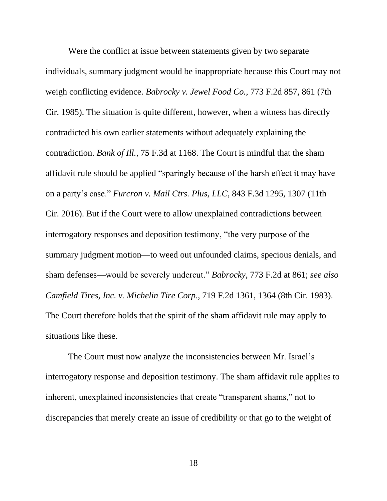Were the conflict at issue between statements given by two separate individuals, summary judgment would be inappropriate because this Court may not weigh conflicting evidence. *Babrocky v. Jewel Food Co.*, 773 F.2d 857, 861 (7th Cir. 1985). The situation is quite different, however, when a witness has directly contradicted his own earlier statements without adequately explaining the contradiction. *Bank of Ill.*, 75 F.3d at 1168. The Court is mindful that the sham affidavit rule should be applied "sparingly because of the harsh effect it may have on a party's case." *Furcron v. Mail Ctrs. Plus, LLC*, 843 F.3d 1295, 1307 (11th Cir. 2016). But if the Court were to allow unexplained contradictions between interrogatory responses and deposition testimony, "the very purpose of the summary judgment motion—to weed out unfounded claims, specious denials, and sham defenses—would be severely undercut." *Babrocky*, 773 F.2d at 861; *see also Camfield Tires, Inc. v. Michelin Tire Corp*., 719 F.2d 1361, 1364 (8th Cir. 1983). The Court therefore holds that the spirit of the sham affidavit rule may apply to situations like these.

The Court must now analyze the inconsistencies between Mr. Israel's interrogatory response and deposition testimony. The sham affidavit rule applies to inherent, unexplained inconsistencies that create "transparent shams," not to discrepancies that merely create an issue of credibility or that go to the weight of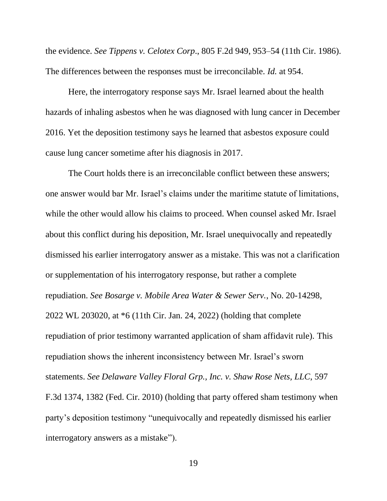the evidence. *See Tippens v. Celotex Corp*., 805 F.2d 949, 953–54 (11th Cir. 1986). The differences between the responses must be irreconcilable. *Id.* at 954.

Here, the interrogatory response says Mr. Israel learned about the health hazards of inhaling asbestos when he was diagnosed with lung cancer in December 2016. Yet the deposition testimony says he learned that asbestos exposure could cause lung cancer sometime after his diagnosis in 2017.

The Court holds there is an irreconcilable conflict between these answers; one answer would bar Mr. Israel's claims under the maritime statute of limitations, while the other would allow his claims to proceed. When counsel asked Mr. Israel about this conflict during his deposition, Mr. Israel unequivocally and repeatedly dismissed his earlier interrogatory answer as a mistake. This was not a clarification or supplementation of his interrogatory response, but rather a complete repudiation. *See Bosarge v. Mobile Area Water & Sewer Serv.*, No. 20-14298, 2022 WL 203020, at \*6 (11th Cir. Jan. 24, 2022) (holding that complete repudiation of prior testimony warranted application of sham affidavit rule). This repudiation shows the inherent inconsistency between Mr. Israel's sworn statements. *See Delaware Valley Floral Grp., Inc. v. Shaw Rose Nets, LLC*, 597 F.3d 1374, 1382 (Fed. Cir. 2010) (holding that party offered sham testimony when party's deposition testimony "unequivocally and repeatedly dismissed his earlier interrogatory answers as a mistake").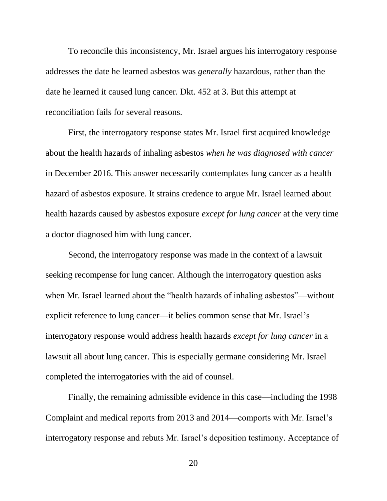To reconcile this inconsistency, Mr. Israel argues his interrogatory response addresses the date he learned asbestos was *generally* hazardous, rather than the date he learned it caused lung cancer. Dkt. 452 at 3. But this attempt at reconciliation fails for several reasons.

First, the interrogatory response states Mr. Israel first acquired knowledge about the health hazards of inhaling asbestos *when he was diagnosed with cancer*  in December 2016. This answer necessarily contemplates lung cancer as a health hazard of asbestos exposure. It strains credence to argue Mr. Israel learned about health hazards caused by asbestos exposure *except for lung cancer* at the very time a doctor diagnosed him with lung cancer.

Second, the interrogatory response was made in the context of a lawsuit seeking recompense for lung cancer. Although the interrogatory question asks when Mr. Israel learned about the "health hazards of inhaling asbestos"—without explicit reference to lung cancer—it belies common sense that Mr. Israel's interrogatory response would address health hazards *except for lung cancer* in a lawsuit all about lung cancer. This is especially germane considering Mr. Israel completed the interrogatories with the aid of counsel.

Finally, the remaining admissible evidence in this case—including the 1998 Complaint and medical reports from 2013 and 2014—comports with Mr. Israel's interrogatory response and rebuts Mr. Israel's deposition testimony. Acceptance of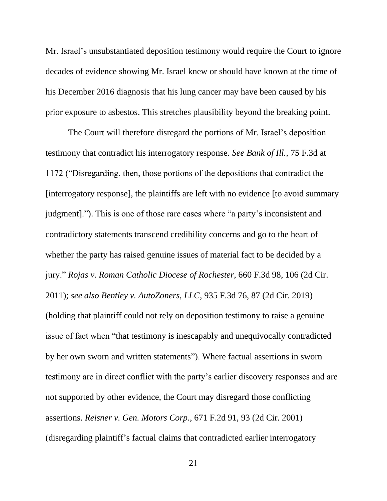Mr. Israel's unsubstantiated deposition testimony would require the Court to ignore decades of evidence showing Mr. Israel knew or should have known at the time of his December 2016 diagnosis that his lung cancer may have been caused by his prior exposure to asbestos. This stretches plausibility beyond the breaking point.

The Court will therefore disregard the portions of Mr. Israel's deposition testimony that contradict his interrogatory response. *See Bank of Ill.*, 75 F.3d at 1172 ("Disregarding, then, those portions of the depositions that contradict the [interrogatory response], the plaintiffs are left with no evidence [to avoid summary judgment]."). This is one of those rare cases where "a party's inconsistent and contradictory statements transcend credibility concerns and go to the heart of whether the party has raised genuine issues of material fact to be decided by a jury." *Rojas v. Roman Catholic Diocese of Rochester*, 660 F.3d 98, 106 (2d Cir. 2011); *see also Bentley v. AutoZoners, LLC*, 935 F.3d 76, 87 (2d Cir. 2019) (holding that plaintiff could not rely on deposition testimony to raise a genuine issue of fact when "that testimony is inescapably and unequivocally contradicted by her own sworn and written statements"). Where factual assertions in sworn testimony are in direct conflict with the party's earlier discovery responses and are not supported by other evidence, the Court may disregard those conflicting assertions. *Reisner v. Gen. Motors Corp*., 671 F.2d 91, 93 (2d Cir. 2001) (disregarding plaintiff's factual claims that contradicted earlier interrogatory

21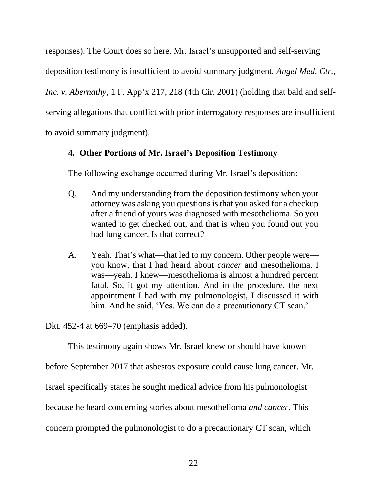responses). The Court does so here. Mr. Israel's unsupported and self-serving deposition testimony is insufficient to avoid summary judgment. *Angel Med. Ctr., Inc. v. Abernathy*, 1 F. App'x 217, 218 (4th Cir. 2001) (holding that bald and selfserving allegations that conflict with prior interrogatory responses are insufficient to avoid summary judgment).

# **4. Other Portions of Mr. Israel's Deposition Testimony**

The following exchange occurred during Mr. Israel's deposition:

- Q. And my understanding from the deposition testimony when your attorney was asking you questions is that you asked for a checkup after a friend of yours was diagnosed with mesothelioma. So you wanted to get checked out, and that is when you found out you had lung cancer. Is that correct?
- A. Yeah. That's what—that led to my concern. Other people were you know, that I had heard about *cancer* and mesothelioma. I was—yeah. I knew—mesothelioma is almost a hundred percent fatal. So, it got my attention. And in the procedure, the next appointment I had with my pulmonologist, I discussed it with him. And he said, 'Yes. We can do a precautionary CT scan.'

Dkt. 452-4 at 669–70 (emphasis added).

This testimony again shows Mr. Israel knew or should have known

before September 2017 that asbestos exposure could cause lung cancer. Mr.

Israel specifically states he sought medical advice from his pulmonologist

because he heard concerning stories about mesothelioma *and cancer*. This

concern prompted the pulmonologist to do a precautionary CT scan, which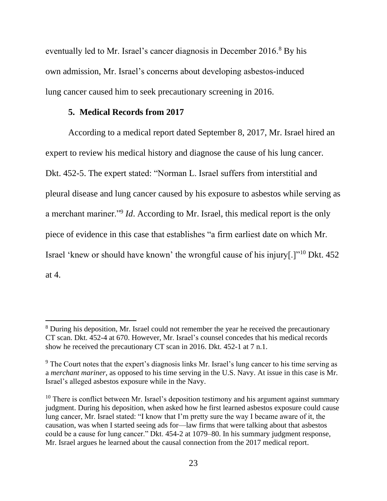eventually led to Mr. Israel's cancer diagnosis in December 2016.<sup>8</sup> By his own admission, Mr. Israel's concerns about developing asbestos-induced lung cancer caused him to seek precautionary screening in 2016.

## **5. Medical Records from 2017**

According to a medical report dated September 8, 2017, Mr. Israel hired an expert to review his medical history and diagnose the cause of his lung cancer. Dkt. 452-5. The expert stated: "Norman L. Israel suffers from interstitial and pleural disease and lung cancer caused by his exposure to asbestos while serving as a merchant mariner."<sup>9</sup> *Id*. According to Mr. Israel, this medical report is the only piece of evidence in this case that establishes "a firm earliest date on which Mr. Israel 'knew or should have known' the wrongful cause of his injury[.]"<sup>10</sup> Dkt. 452 at 4.

<sup>&</sup>lt;sup>8</sup> During his deposition, Mr. Israel could not remember the year he received the precautionary CT scan. Dkt. 452-4 at 670. However, Mr. Israel's counsel concedes that his medical records show he received the precautionary CT scan in 2016. Dkt. 452-1 at 7 n.1.

<sup>&</sup>lt;sup>9</sup> The Court notes that the expert's diagnosis links Mr. Israel's lung cancer to his time serving as a *merchant mariner*, as opposed to his time serving in the U.S. Navy. At issue in this case is Mr. Israel's alleged asbestos exposure while in the Navy.

 $10$  There is conflict between Mr. Israel's deposition testimony and his argument against summary judgment. During his deposition, when asked how he first learned asbestos exposure could cause lung cancer, Mr. Israel stated: "I know that I'm pretty sure the way I became aware of it, the causation, was when I started seeing ads for—law firms that were talking about that asbestos could be a cause for lung cancer." Dkt. 454-2 at 1079–80. In his summary judgment response, Mr. Israel argues he learned about the causal connection from the 2017 medical report.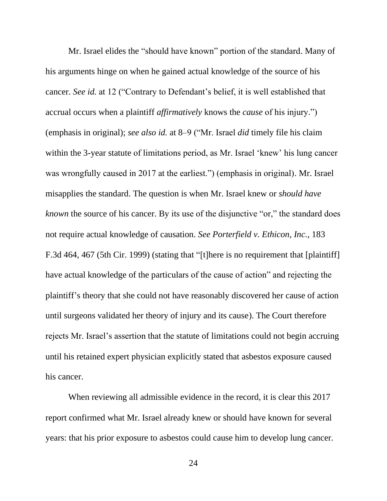Mr. Israel elides the "should have known" portion of the standard. Many of his arguments hinge on when he gained actual knowledge of the source of his cancer. *See id.* at 12 ("Contrary to Defendant's belief, it is well established that accrual occurs when a plaintiff *affirmatively* knows the *cause* of his injury.") (emphasis in original); *see also id.* at 8–9 ("Mr. Israel *did* timely file his claim within the 3-year statute of limitations period, as Mr. Israel 'knew' his lung cancer was wrongfully caused in 2017 at the earliest.") (emphasis in original). Mr. Israel misapplies the standard. The question is when Mr. Israel knew or *should have known* the source of his cancer. By its use of the disjunctive "or," the standard does not require actual knowledge of causation. *See Porterfield v. Ethicon, Inc.*, 183 F.3d 464, 467 (5th Cir. 1999) (stating that "[t]here is no requirement that [plaintiff] have actual knowledge of the particulars of the cause of action" and rejecting the plaintiff's theory that she could not have reasonably discovered her cause of action until surgeons validated her theory of injury and its cause). The Court therefore rejects Mr. Israel's assertion that the statute of limitations could not begin accruing until his retained expert physician explicitly stated that asbestos exposure caused his cancer.

When reviewing all admissible evidence in the record, it is clear this 2017 report confirmed what Mr. Israel already knew or should have known for several years: that his prior exposure to asbestos could cause him to develop lung cancer.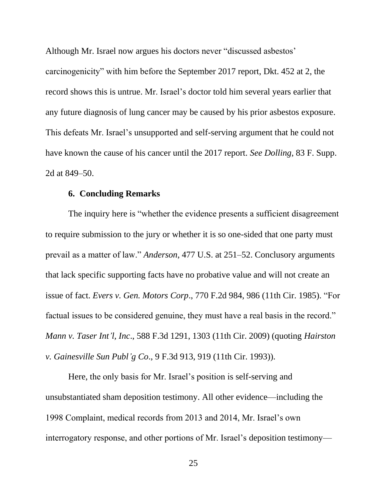Although Mr. Israel now argues his doctors never "discussed asbestos' carcinogenicity" with him before the September 2017 report, Dkt. 452 at 2, the record shows this is untrue. Mr. Israel's doctor told him several years earlier that any future diagnosis of lung cancer may be caused by his prior asbestos exposure. This defeats Mr. Israel's unsupported and self-serving argument that he could not have known the cause of his cancer until the 2017 report. *See Dolling*, 83 F. Supp. 2d at 849–50.

#### **6. Concluding Remarks**

The inquiry here is "whether the evidence presents a sufficient disagreement to require submission to the jury or whether it is so one-sided that one party must prevail as a matter of law." *Anderson*, 477 U.S. at 251–52. Conclusory arguments that lack specific supporting facts have no probative value and will not create an issue of fact. *Evers v. Gen. Motors Corp*., 770 F.2d 984, 986 (11th Cir. 1985). "For factual issues to be considered genuine, they must have a real basis in the record." *Mann v. Taser Int'l, Inc*., 588 F.3d 1291, 1303 (11th Cir. 2009) (quoting *Hairston v. Gainesville Sun Publ'g Co*., 9 F.3d 913, 919 (11th Cir. 1993)).

Here, the only basis for Mr. Israel's position is self-serving and unsubstantiated sham deposition testimony. All other evidence—including the 1998 Complaint, medical records from 2013 and 2014, Mr. Israel's own interrogatory response, and other portions of Mr. Israel's deposition testimony—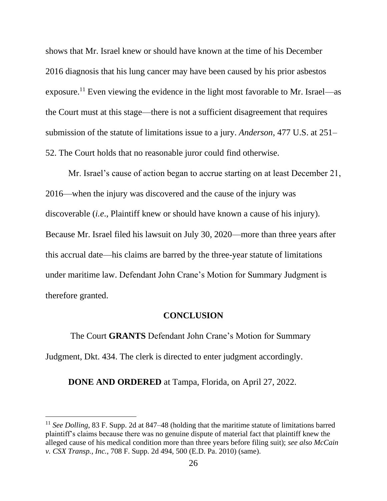shows that Mr. Israel knew or should have known at the time of his December 2016 diagnosis that his lung cancer may have been caused by his prior asbestos exposure.<sup>11</sup> Even viewing the evidence in the light most favorable to Mr. Israel—as the Court must at this stage—there is not a sufficient disagreement that requires submission of the statute of limitations issue to a jury. *Anderson*, 477 U.S. at 251– 52. The Court holds that no reasonable juror could find otherwise.

Mr. Israel's cause of action began to accrue starting on at least December 21, 2016—when the injury was discovered and the cause of the injury was discoverable (*i.e*., Plaintiff knew or should have known a cause of his injury). Because Mr. Israel filed his lawsuit on July 30, 2020—more than three years after this accrual date—his claims are barred by the three-year statute of limitations under maritime law. Defendant John Crane's Motion for Summary Judgment is therefore granted.

#### **CONCLUSION**

The Court **GRANTS** Defendant John Crane's Motion for Summary Judgment, Dkt. 434. The clerk is directed to enter judgment accordingly.

**DONE AND ORDERED** at Tampa, Florida, on April 27, 2022.

<sup>11</sup> *See Dolling*, 83 F. Supp. 2d at 847–48 (holding that the maritime statute of limitations barred plaintiff's claims because there was no genuine dispute of material fact that plaintiff knew the alleged cause of his medical condition more than three years before filing suit); *see also McCain v. CSX Transp., Inc.*, 708 F. Supp. 2d 494, 500 (E.D. Pa. 2010) (same).